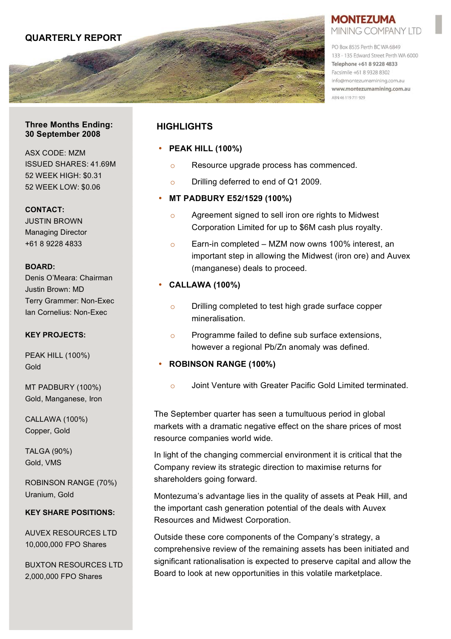

## **MONTEZUMA** MINING COMPANY LTD

PO Box 8535 Perth BC WA 6849 133 - 135 Edward Street Perth WA 6000 Telephone +61 8 9228 4833 Facsimile +61 8 9328 8302 info@montezumamining.com.au www.montezumamining.com.au ABN 46 119 711 929

#### **Three Months Ending: 30 September 2008**

ASX CODE: MZM ISSUED SHARES: 41.69M 52 WEEK HIGH: \$0.31 52 WEEK LOW: \$0.06

**CONTACT:**

JUSTIN BROWN Managing Director +61 8 9228 4833

## **BOARD:**

Denis O'Meara: Chairman Justin Brown: MD Terry Grammer: Non-Exec Ian Cornelius: Non-Exec

#### **KEY PROJECTS:**

PEAK HILL (100%) Gold

MT PADBURY (100%) Gold, Manganese, Iron

CALLAWA (100%) Copper, Gold

TALGA (90%) Gold, VMS

ROBINSON RANGE (70%) Uranium, Gold

#### **KEY SHARE POSITIONS:**

AUVEX RESOURCES LTD 10,000,000 FPO Shares

BUXTON RESOURCES LTD 2,000,000 FPO Shares

# **HIGHLIGHTS**

# • **PEAK HILL (100%)**

- o Resource upgrade process has commenced.
- o Drilling deferred to end of Q1 2009.

# • **MT PADBURY E52/1529 (100%)**

- o Agreement signed to sell iron ore rights to Midwest Corporation Limited for up to \$6M cash plus royalty.
- $\circ$  Earn-in completed MZM now owns 100% interest, an important step in allowing the Midwest (iron ore) and Auvex (manganese) deals to proceed.

# • **CALLAWA (100%)**

- o Drilling completed to test high grade surface copper mineralisation.
- o Programme failed to define sub surface extensions, however a regional Pb/Zn anomaly was defined.

# • **ROBINSON RANGE (100%)**

o Joint Venture with Greater Pacific Gold Limited terminated.

The September quarter has seen a tumultuous period in global markets with a dramatic negative effect on the share prices of most resource companies world wide.

In light of the changing commercial environment it is critical that the Company review its strategic direction to maximise returns for shareholders going forward.

Montezuma's advantage lies in the quality of assets at Peak Hill, and the important cash generation potential of the deals with Auvex Resources and Midwest Corporation.

Outside these core components of the Company's strategy, a comprehensive review of the remaining assets has been initiated and significant rationalisation is expected to preserve capital and allow the Board to look at new opportunities in this volatile marketplace.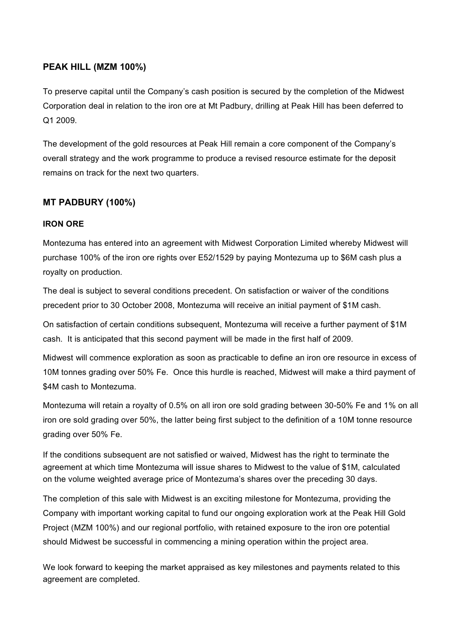## **PEAK HILL (MZM 100%)**

To preserve capital until the Company's cash position is secured by the completion of the Midwest Corporation deal in relation to the iron ore at Mt Padbury, drilling at Peak Hill has been deferred to Q1 2009.

The development of the gold resources at Peak Hill remain a core component of the Company's overall strategy and the work programme to produce a revised resource estimate for the deposit remains on track for the next two quarters.

# **MT PADBURY (100%)**

## **IRON ORE**

Montezuma has entered into an agreement with Midwest Corporation Limited whereby Midwest will purchase 100% of the iron ore rights over E52/1529 by paying Montezuma up to \$6M cash plus a royalty on production.

The deal is subject to several conditions precedent. On satisfaction or waiver of the conditions precedent prior to 30 October 2008, Montezuma will receive an initial payment of \$1M cash.

On satisfaction of certain conditions subsequent, Montezuma will receive a further payment of \$1M cash. It is anticipated that this second payment will be made in the first half of 2009.

Midwest will commence exploration as soon as practicable to define an iron ore resource in excess of 10M tonnes grading over 50% Fe. Once this hurdle is reached, Midwest will make a third payment of \$4M cash to Montezuma.

Montezuma will retain a royalty of 0.5% on all iron ore sold grading between 30-50% Fe and 1% on all iron ore sold grading over 50%, the latter being first subject to the definition of a 10M tonne resource grading over 50% Fe.

If the conditions subsequent are not satisfied or waived, Midwest has the right to terminate the agreement at which time Montezuma will issue shares to Midwest to the value of \$1M, calculated on the volume weighted average price of Montezuma's shares over the preceding 30 days.

The completion of this sale with Midwest is an exciting milestone for Montezuma, providing the Company with important working capital to fund our ongoing exploration work at the Peak Hill Gold Project (MZM 100%) and our regional portfolio, with retained exposure to the iron ore potential should Midwest be successful in commencing a mining operation within the project area.

We look forward to keeping the market appraised as key milestones and payments related to this agreement are completed.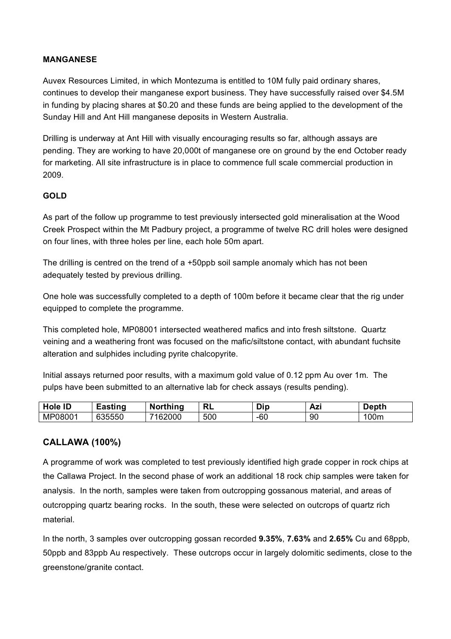## **MANGANESE**

Auvex Resources Limited, in which Montezuma is entitled to 10M fully paid ordinary shares, continues to develop their manganese export business. They have successfully raised over \$4.5M in funding by placing shares at \$0.20 and these funds are being applied to the development of the Sunday Hill and Ant Hill manganese deposits in Western Australia.

Drilling is underway at Ant Hill with visually encouraging results so far, although assays are pending. They are working to have 20,000t of manganese ore on ground by the end October ready for marketing. All site infrastructure is in place to commence full scale commercial production in 2009.

## **GOLD**

As part of the follow up programme to test previously intersected gold mineralisation at the Wood Creek Prospect within the Mt Padbury project, a programme of twelve RC drill holes were designed on four lines, with three holes per line, each hole 50m apart.

The drilling is centred on the trend of  $a + 50$  ppb soil sample anomaly which has not been adequately tested by previous drilling.

One hole was successfully completed to a depth of 100m before it became clear that the rig under equipped to complete the programme.

This completed hole, MP08001 intersected weathered mafics and into fresh siltstone. Quartz veining and a weathering front was focused on the mafic/siltstone contact, with abundant fuchsite alteration and sulphides including pyrite chalcopyrite.

Initial assays returned poor results, with a maximum gold value of 0.12 ppm Au over 1m. The pulps have been submitted to an alternative lab for check assays (results pending).

| <b>Hole ID</b> | <b>£asting</b>                       | <b>Northing</b>          | <b>RL</b> | Dip   | Azi | )epth |
|----------------|--------------------------------------|--------------------------|-----------|-------|-----|-------|
| MP08001        | $\sim$ $\sim$ $\sim$ $\sim$<br>'555ს | 162000<br>$\overline{ }$ | 500       | $-60$ | 90  | 00m   |

# **CALLAWA (100%)**

A programme of work was completed to test previously identified high grade copper in rock chips at the Callawa Project. In the second phase of work an additional 18 rock chip samples were taken for analysis. In the north, samples were taken from outcropping gossanous material, and areas of outcropping quartz bearing rocks. In the south, these were selected on outcrops of quartz rich material.

In the north, 3 samples over outcropping gossan recorded **9.35%**, **7.63%** and **2.65%** Cu and 68ppb, 50ppb and 83ppb Au respectively. These outcrops occur in largely dolomitic sediments, close to the greenstone/granite contact.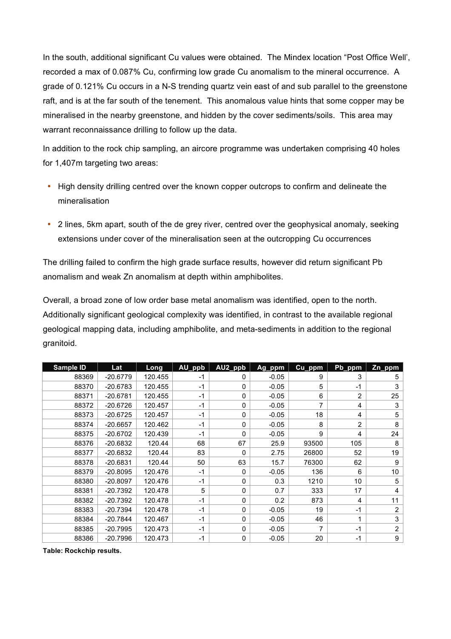In the south, additional significant Cu values were obtained. The Mindex location "Post Office Well', recorded a max of 0.087% Cu, confirming low grade Cu anomalism to the mineral occurrence. A grade of 0.121% Cu occurs in a N-S trending quartz vein east of and sub parallel to the greenstone raft, and is at the far south of the tenement. This anomalous value hints that some copper may be mineralised in the nearby greenstone, and hidden by the cover sediments/soils. This area may warrant reconnaissance drilling to follow up the data.

In addition to the rock chip sampling, an aircore programme was undertaken comprising 40 holes for 1,407m targeting two areas:

- High density drilling centred over the known copper outcrops to confirm and delineate the mineralisation
- 2 lines, 5km apart, south of the de grey river, centred over the geophysical anomaly, seeking extensions under cover of the mineralisation seen at the outcropping Cu occurrences

The drilling failed to confirm the high grade surface results, however did return significant Pb anomalism and weak Zn anomalism at depth within amphibolites.

Overall, a broad zone of low order base metal anomalism was identified, open to the north. Additionally significant geological complexity was identified, in contrast to the available regional geological mapping data, including amphibolite, and meta-sediments in addition to the regional granitoid.

| Sample ID | Lat        | Long    | AU_ppb | AU2_ppb | Ag_ppm  | Cu_ppm | Pb_ppm         | Zn_ppm         |
|-----------|------------|---------|--------|---------|---------|--------|----------------|----------------|
| 88369     | $-20.6779$ | 120.455 | $-1$   | 0       | $-0.05$ | 9      | 3              | 5              |
| 88370     | $-20.6783$ | 120.455 | $-1$   | 0       | $-0.05$ | 5      | $-1$           | 3              |
| 88371     | $-20.6781$ | 120.455 | $-1$   | 0       | $-0.05$ | 6      | $\overline{2}$ | 25             |
| 88372     | $-20.6726$ | 120.457 | $-1$   | 0       | $-0.05$ | 7      | 4              | 3              |
| 88373     | $-20.6725$ | 120.457 | $-1$   | 0       | $-0.05$ | 18     | 4              | 5              |
| 88374     | $-20.6657$ | 120.462 | $-1$   | 0       | $-0.05$ | 8      | $\overline{c}$ | 8              |
| 88375     | $-20.6702$ | 120.439 | $-1$   | 0       | $-0.05$ | 9      | 4              | 24             |
| 88376     | $-20.6832$ | 120.44  | 68     | 67      | 25.9    | 93500  | 105            | 8              |
| 88377     | $-20.6832$ | 120.44  | 83     | 0       | 2.75    | 26800  | 52             | 19             |
| 88378     | $-20.6831$ | 120.44  | 50     | 63      | 15.7    | 76300  | 62             | 9              |
| 88379     | $-20.8095$ | 120.476 | -1     | 0       | $-0.05$ | 136    | 6              | 10             |
| 88380     | $-20.8097$ | 120.476 | $-1$   | 0       | 0.3     | 1210   | 10             | 5              |
| 88381     | $-20.7392$ | 120.478 | 5      | 0       | 0.7     | 333    | 17             | 4              |
| 88382     | $-20.7392$ | 120.478 | $-1$   | 0       | 0.2     | 873    | 4              | 11             |
| 88383     | $-20.7394$ | 120.478 | $-1$   | 0       | $-0.05$ | 19     | $-1$           | 2              |
| 88384     | $-20.7844$ | 120.467 | $-1$   | 0       | $-0.05$ | 46     | 1              | 3              |
| 88385     | $-20.7995$ | 120.473 | $-1$   | 0       | $-0.05$ | 7      | $-1$           | $\overline{2}$ |
| 88386     | $-20.7996$ | 120.473 | -1     | 0       | $-0.05$ | 20     | $-1$           | 9              |

**Table: Rockchip results.**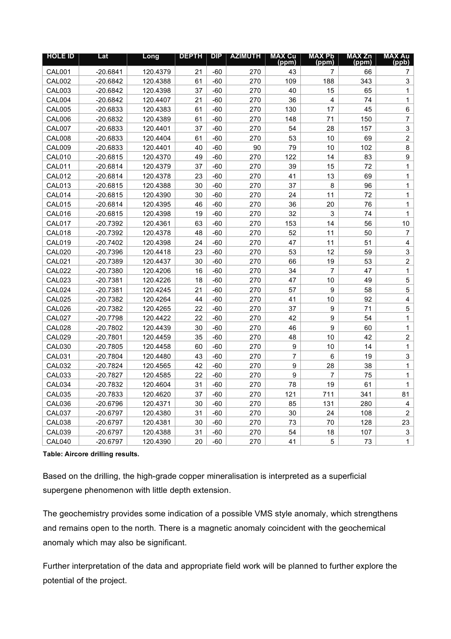| <b>HOLE ID</b> | Lat        | Long     | <b>DEPTH</b> | DP    | <b>AZIMUTH</b> | <b>MAX Cu</b><br>(ppm) | <b>MAX Pb</b><br>(ppm) | <b>MAX Zn</b><br>(ppm) | <b>MAX Au</b><br>(ppb)  |
|----------------|------------|----------|--------------|-------|----------------|------------------------|------------------------|------------------------|-------------------------|
| <b>CAL001</b>  | $-20.6841$ | 120.4379 | 21           | $-60$ | 270            | 43                     | 7                      | 66                     | 7                       |
| <b>CAL002</b>  | $-20.6842$ | 120.4388 | 61           | $-60$ | 270            | 109                    | 188                    | 343                    | 3                       |
| <b>CAL003</b>  | $-20.6842$ | 120.4398 | 37           | $-60$ | 270            | 40                     | 15                     | 65                     | 1                       |
| CAL004         | $-20.6842$ | 120.4407 | 21           | -60   | 270            | 36                     | 4                      | 74                     | 1                       |
| <b>CAL005</b>  | $-20.6833$ | 120.4383 | 61           | $-60$ | 270            | 130                    | 17                     | 45                     | 6                       |
| <b>CAL006</b>  | $-20.6832$ | 120.4389 | 61           | $-60$ | 270            | 148                    | 71                     | 150                    | $\overline{7}$          |
| <b>CAL007</b>  | $-20.6833$ | 120.4401 | 37           | $-60$ | 270            | 54                     | 28                     | 157                    | 3                       |
| <b>CAL008</b>  | $-20.6833$ | 120.4404 | 61           | $-60$ | 270            | 53                     | 10                     | 69                     | $\overline{2}$          |
| <b>CAL009</b>  | $-20.6833$ | 120.4401 | 40           | -60   | 90             | 79                     | 10                     | 102                    | 8                       |
| <b>CAL010</b>  | $-20.6815$ | 120.4370 | 49           | $-60$ | 270            | 122                    | 14                     | 83                     | 9                       |
| <b>CAL011</b>  | $-20.6814$ | 120.4379 | 37           | $-60$ | 270            | 39                     | 15                     | 72                     | $\mathbf{1}$            |
| <b>CAL012</b>  | $-20.6814$ | 120.4378 | 23           | $-60$ | 270            | 41                     | 13                     | 69                     | $\mathbf{1}$            |
| <b>CAL013</b>  | $-20.6815$ | 120.4388 | 30           | $-60$ | 270            | 37                     | 8                      | 96                     | $\mathbf{1}$            |
| CAL014         | $-20.6815$ | 120.4390 | 30           | $-60$ | 270            | 24                     | 11                     | 72                     | $\mathbf{1}$            |
| <b>CAL015</b>  | $-20.6814$ | 120.4395 | 46           | $-60$ | 270            | 36                     | 20                     | 76                     | 1                       |
| <b>CAL016</b>  | $-20.6815$ | 120.4398 | 19           | $-60$ | 270            | 32                     | 3                      | 74                     | $\mathbf{1}$            |
| <b>CAL017</b>  | $-20.7392$ | 120.4361 | 63           | $-60$ | 270            | 153                    | 14                     | 56                     | 10                      |
| <b>CAL018</b>  | $-20.7392$ | 120.4378 | 48           | $-60$ | 270            | 52                     | 11                     | 50                     | $\overline{7}$          |
| <b>CAL019</b>  | $-20.7402$ | 120.4398 | 24           | $-60$ | 270            | 47                     | 11                     | 51                     | 4                       |
| CAL020         | $-20.7396$ | 120.4418 | 23           | $-60$ | 270            | 53                     | 12                     | 59                     | 3                       |
| <b>CAL021</b>  | $-20.7389$ | 120.4437 | 30           | $-60$ | 270            | 66                     | 19                     | 53                     | $\overline{2}$          |
| <b>CAL022</b>  | $-20.7380$ | 120.4206 | 16           | $-60$ | 270            | 34                     | $\overline{7}$         | 47                     | $\mathbf{1}$            |
| <b>CAL023</b>  | $-20.7381$ | 120.4226 | 18           | $-60$ | 270            | 47                     | 10                     | 49                     | 5                       |
| CAL024         | $-20.7381$ | 120.4245 | 21           | $-60$ | 270            | 57                     | 9                      | 58                     | 5                       |
| <b>CAL025</b>  | $-20.7382$ | 120.4264 | 44           | $-60$ | 270            | 41                     | 10                     | 92                     | $\overline{\mathbf{4}}$ |
| <b>CAL026</b>  | $-20.7382$ | 120.4265 | 22           | $-60$ | 270            | 37                     | $\boldsymbol{9}$       | 71                     | 5                       |
| <b>CAL027</b>  | $-20.7798$ | 120.4422 | 22           | $-60$ | 270            | 42                     | 9                      | 54                     | $\mathbf{1}$            |
| <b>CAL028</b>  | $-20.7802$ | 120.4439 | 30           | $-60$ | 270            | 46                     | 9                      | 60                     | $\mathbf{1}$            |
| <b>CAL029</b>  | $-20.7801$ | 120.4459 | 35           | $-60$ | 270            | 48                     | 10                     | 42                     | $\overline{2}$          |
| <b>CAL030</b>  | $-20.7805$ | 120.4458 | 60           | $-60$ | 270            | 9                      | 10                     | 14                     | $\mathbf{1}$            |
| <b>CAL031</b>  | $-20.7804$ | 120.4480 | 43           | $-60$ | 270            | $\overline{7}$         | 6                      | 19                     | 3                       |
| <b>CAL032</b>  | $-20.7824$ | 120.4565 | 42           | $-60$ | 270            | 9                      | 28                     | 38                     | 1                       |
| <b>CAL033</b>  | $-20.7827$ | 120.4585 | 22           | $-60$ | 270            | 9                      | 7                      | 75                     | $\mathbf{1}$            |
| CAL034         | $-20.7832$ | 120.4604 | 31           | $-60$ | 270            | 78                     | 19                     | 61                     | $\mathbf{1}$            |
| <b>CAL035</b>  | $-20.7833$ | 120.4620 | 37           | $-60$ | 270            | 121                    | 711                    | 341                    | 81                      |
| <b>CAL036</b>  | $-20.6796$ | 120.4371 | 30           | $-60$ | 270            | 85                     | 131                    | 280                    | $\overline{\mathbf{4}}$ |
| <b>CAL037</b>  | $-20.6797$ | 120.4380 | 31           | $-60$ | 270            | 30                     | 24                     | 108                    | $\overline{2}$          |
| <b>CAL038</b>  | $-20.6797$ | 120.4381 | 30           | $-60$ | 270            | 73                     | 70                     | 128                    | 23                      |
| <b>CAL039</b>  | $-20.6797$ | 120.4388 | 31           | $-60$ | 270            | 54                     | 18                     | 107                    | 3                       |
| CAL040         | $-20.6797$ | 120.4390 | 20           | $-60$ | 270            | 41                     | 5                      | 73                     | 1                       |

**Table: Aircore drilling results.**

Based on the drilling, the high-grade copper mineralisation is interpreted as a superficial supergene phenomenon with little depth extension.

The geochemistry provides some indication of a possible VMS style anomaly, which strengthens and remains open to the north. There is a magnetic anomaly coincident with the geochemical anomaly which may also be significant.

Further interpretation of the data and appropriate field work will be planned to further explore the potential of the project.